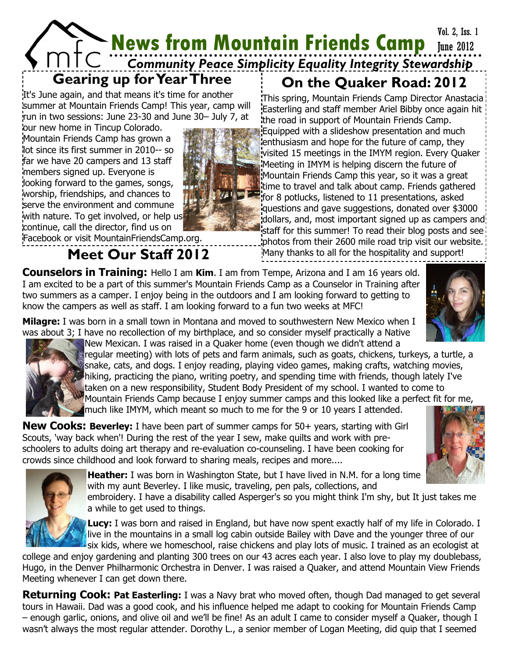Vol. 2, Iss. 1

# **News from Mountain Friends Camp** June 2012 *Community Peace Simplicity Equality Integrity Stewardship*

### **Gearing up for Year Three**

It's June again, and that means it's time for another summer at Mountain Friends Camp! This year, camp will run in two sessions: June 23-30 and June 30– July 7, at

our new home in Tincup Colorado. Mountain Friends Camp has grown a lot since its first summer in 2010-- so far we have 20 campers and 13 staff members signed up. Everyone is looking forward to the games, songs, worship, friendships, and chances to serve the environment and commune with nature. To get involved, or help us continue, call the director, find us on



## **On the Quaker Road: 2012**

This spring, Mountain Friends Camp Director Anastacia Easterling and staff member Ariel Bibby once again hit the road in support of Mountain Friends Camp. Equipped with a slideshow presentation and much enthusiasm and hope for the future of camp, they visited 15 meetings in the IMYM region. Every Quaker Meeting in IMYM is helping discern the future of Mountain Friends Camp this year, so it was a great time to travel and talk about camp. Friends gathered for 8 potlucks, listened to 11 presentations, asked questions and gave suggestions, donated over \$3000 dollars, and, most important signed up as campers and staff for this summer! To read their blog posts and see photos from their 2600 mile road trip visit our website. **Meet Our Staff 2012** Many thanks to all for the hospitality and support!

**Counselors in Training:** Hello I am **Kim**. I am from Tempe, Arizona and I am 16 years old. I am excited to be a part of this summer's Mountain Friends Camp as a Counselor in Training after two summers as a camper. I enjoy being in the outdoors and I am looking forward to getting to know the campers as well as staff. I am looking forward to a fun two weeks at MFC!



**Milagre:** I was born in a small town in Montana and moved to southwestern New Mexico when I was about 3; I have no recollection of my birthplace, and so consider myself practically a Native



New Mexican. I was raised in a Quaker home (even though we didn't attend a regular meeting) with lots of pets and farm animals, such as goats, chickens, turkeys, a turtle, a snake, cats, and dogs. I enjoy reading, playing video games, making crafts, watching movies, hiking, practicing the piano, writing poetry, and spending time with friends, though lately I've taken on a new responsibility, Student Body President of my school. I wanted to come to Mountain Friends Camp because I enjoy summer camps and this looked like a perfect fit for me, much like IMYM, which meant so much to me for the 9 or 10 years I attended.

**New Cooks: Beverley:** I have been part of summer camps for 50+ years, starting with Girl Scouts, 'way back when'! During the rest of the year I sew, make quilts and work with preschoolers to adults doing art therapy and re-evaluation co-counseling. I have been cooking for crowds since childhood and look forward to sharing meals, recipes and more....





**Heather:** I was born in Washington State, but I have lived in N.M. for a long time with my aunt Beverley. I like music, traveling, pen pals, collections, and

embroidery. I have a disability called Asperger's so you might think I'm shy, but It just takes me a while to get used to things.

**Lucy:** I was born and raised in England, but have now spent exactly half of my life in Colorado. I live in the mountains in a small log cabin outside Bailey with Dave and the younger three of our six kids, where we homeschool, raise chickens and play lots of music. I trained as an ecologist at

college and enjoy gardening and planting 300 trees on our 43 acres each year. I also love to play my doublebass, Hugo, in the Denver Philharmonic Orchestra in Denver. I was raised a Quaker, and attend Mountain View Friends Meeting whenever I can get down there.

**Returning Cook: Pat Easterling:** I was a Navy brat who moved often, though Dad managed to get several tours in Hawaii. Dad was a good cook, and his influence helped me adapt to cooking for Mountain Friends Camp – enough garlic, onions, and olive oil and we'll be fine! As an adult I came to consider myself a Quaker, though I wasn't always the most regular attender. Dorothy L., a senior member of Logan Meeting, did quip that I seemed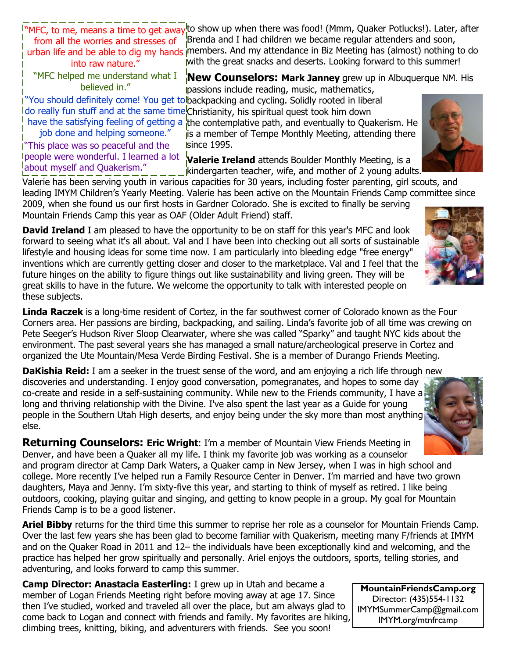"MFC, to me, means a time to get away from all the worries and stresses of into raw nature."

to show up when there was food! (Mmm, Quaker Potlucks!). Later, after Brenda and I had children we became regular attenders and soon, urban life and be able to dig my hands members. And my attendance in Biz Meeting has (almost) nothing to do with the great snacks and deserts. Looking forward to this summer!

"MFC helped me understand what I believed in."

### **New Counselors: Mark Janney** grew up in Albuquerque NM. His

passions include reading, music, mathematics,

"You should definitely come! You get to backpacking and cycling. Solidly rooted in liberal do really fun stuff and at the same time Christianity, his spiritual quest took him down

have the satisfying feeling of getting a job done and helping someone."

"This place was so peaceful and the people were wonderful. I learned a lot about myself and Quakerism."

the contemplative path, and eventually to Quakerism. He is a member of Tempe Monthly Meeting, attending there **since 1995.** 

**Valerie Ireland** attends Boulder Monthly Meeting, is a kindergarten teacher, wife, and mother of 2 young adults.

Valerie has been serving youth in various capacities for 30 years, including foster parenting, girl scouts, and leading IMYM Children's Yearly Meeting. Valerie has been active on the Mountain Friends Camp committee since 2009, when she found us our first hosts in Gardner Colorado. She is excited to finally be serving

Mountain Friends Camp this year as OAF (Older Adult Friend) staff.

**David Ireland** I am pleased to have the opportunity to be on staff for this year's MFC and look forward to seeing what it's all about. Val and I have been into checking out all sorts of sustainable lifestyle and housing ideas for some time now. I am particularly into bleeding edge "free energy" inventions which are currently getting closer and closer to the marketplace. Val and I feel that the future hinges on the ability to figure things out like sustainability and living green. They will be great skills to have in the future. We welcome the opportunity to talk with interested people on these subjects.

**Linda Raczek** is a long-time resident of Cortez, in the far southwest corner of Colorado known as the Four Corners area. Her passions are birding, backpacking, and sailing. Linda's favorite job of all time was crewing on Pete Seeger's Hudson River Sloop Clearwater, where she was called "Sparky" and taught NYC kids about the environment. The past several years she has managed a small nature/archeological preserve in Cortez and organized the Ute Mountain/Mesa Verde Birding Festival. She is a member of Durango Friends Meeting.

**DaKishia Reid:** I am a seeker in the truest sense of the word, and am enjoying a rich life through new discoveries and understanding. I enjoy good conversation, pomegranates, and hopes to some day co-create and reside in a self-sustaining community. While new to the Friends community, I have a long and thriving relationship with the Divine. I've also spent the last year as a Guide for young people in the Southern Utah High deserts, and enjoy being under the sky more than most anything else.

**Returning Counselors: Eric Wright:** I'm a member of Mountain View Friends Meeting in Denver, and have been a Quaker all my life. I think my favorite job was working as a counselor and program director at Camp Dark Waters, a Quaker camp in New Jersey, when I was in high school and college. More recently I've helped run a Family Resource Center in Denver. I'm married and have two grown daughters, Maya and Jenny. I'm sixty-five this year, and starting to think of myself as retired. I like being outdoors, cooking, playing guitar and singing, and getting to know people in a group. My goal for Mountain Friends Camp is to be a good listener.

**Ariel Bibby** returns for the third time this summer to reprise her role as a counselor for Mountain Friends Camp. Over the last few years she has been glad to become familiar with Quakerism, meeting many F/friends at IMYM and on the Quaker Road in 2011 and 12– the individuals have been exceptionally kind and welcoming, and the practice has helped her grow spiritually and personally. Ariel enjoys the outdoors, sports, telling stories, and adventuring, and looks forward to camp this summer.

**Camp Director: Anastacia Easterling:** I grew up in Utah and became a member of Logan Friends Meeting right before moving away at age 17. Since then I've studied, worked and traveled all over the place, but am always glad to come back to Logan and connect with friends and family. My favorites are hiking, climbing trees, knitting, biking, and adventurers with friends. See you soon!

**MountainFriendsCamp.org** Director: (435)554-1132 IMYMSummerCamp@gmail.com IMYM.org/mtnfrcamp